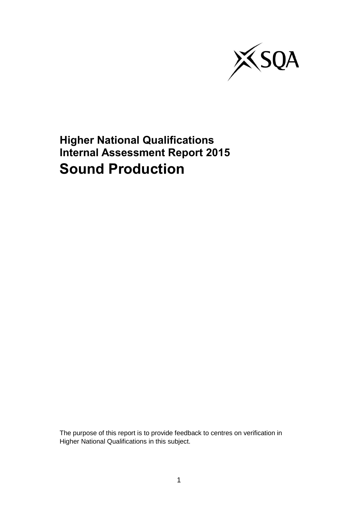

# **Higher National Qualifications Internal Assessment Report 2015 Sound Production**

The purpose of this report is to provide feedback to centres on verification in Higher National Qualifications in this subject.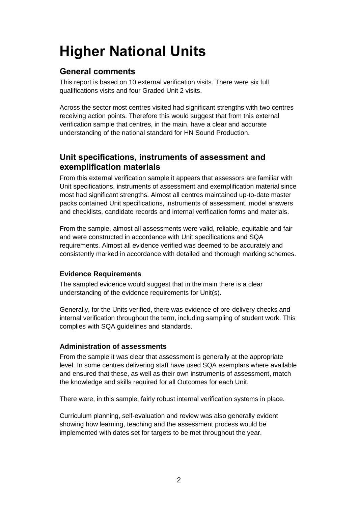# **Higher National Units**

# **General comments**

This report is based on 10 external verification visits. There were six full qualifications visits and four Graded Unit 2 visits.

Across the sector most centres visited had significant strengths with two centres receiving action points. Therefore this would suggest that from this external verification sample that centres, in the main, have a clear and accurate understanding of the national standard for HN Sound Production.

# **Unit specifications, instruments of assessment and exemplification materials**

From this external verification sample it appears that assessors are familiar with Unit specifications, instruments of assessment and exemplification material since most had significant strengths. Almost all centres maintained up-to-date master packs contained Unit specifications, instruments of assessment, model answers and checklists, candidate records and internal verification forms and materials.

From the sample, almost all assessments were valid, reliable, equitable and fair and were constructed in accordance with Unit specifications and SQA requirements. Almost all evidence verified was deemed to be accurately and consistently marked in accordance with detailed and thorough marking schemes.

### **Evidence Requirements**

The sampled evidence would suggest that in the main there is a clear understanding of the evidence requirements for Unit(s).

Generally, for the Units verified, there was evidence of pre-delivery checks and internal verification throughout the term, including sampling of student work. This complies with SQA guidelines and standards.

### **Administration of assessments**

From the sample it was clear that assessment is generally at the appropriate level. In some centres delivering staff have used SQA exemplars where available and ensured that these, as well as their own instruments of assessment, match the knowledge and skills required for all Outcomes for each Unit.

There were, in this sample, fairly robust internal verification systems in place.

Curriculum planning, self-evaluation and review was also generally evident showing how learning, teaching and the assessment process would be implemented with dates set for targets to be met throughout the year.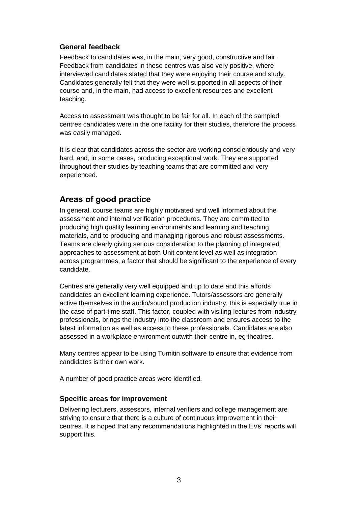### **General feedback**

Feedback to candidates was, in the main, very good, constructive and fair. Feedback from candidates in these centres was also very positive, where interviewed candidates stated that they were enjoying their course and study. Candidates generally felt that they were well supported in all aspects of their course and, in the main, had access to excellent resources and excellent teaching.

Access to assessment was thought to be fair for all. In each of the sampled centres candidates were in the one facility for their studies, therefore the process was easily managed.

It is clear that candidates across the sector are working conscientiously and very hard, and, in some cases, producing exceptional work. They are supported throughout their studies by teaching teams that are committed and very experienced.

# **Areas of good practice**

In general, course teams are highly motivated and well informed about the assessment and internal verification procedures. They are committed to producing high quality learning environments and learning and teaching materials, and to producing and managing rigorous and robust assessments. Teams are clearly giving serious consideration to the planning of integrated approaches to assessment at both Unit content level as well as integration across programmes, a factor that should be significant to the experience of every candidate.

Centres are generally very well equipped and up to date and this affords candidates an excellent learning experience. Tutors/assessors are generally active themselves in the audio/sound production industry, this is especially true in the case of part-time staff. This factor, coupled with visiting lectures from industry professionals, brings the industry into the classroom and ensures access to the latest information as well as access to these professionals. Candidates are also assessed in a workplace environment outwith their centre in, eg theatres.

Many centres appear to be using Turnitin software to ensure that evidence from candidates is their own work.

A number of good practice areas were identified.

### **Specific areas for improvement**

Delivering lecturers, assessors, internal verifiers and college management are striving to ensure that there is a culture of continuous improvement in their centres. It is hoped that any recommendations highlighted in the EVs' reports will support this.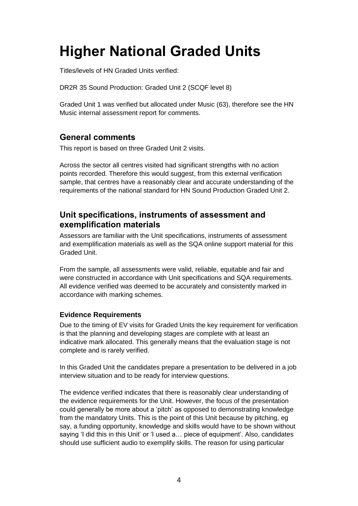# **Higher National Graded Units**

Titles/levels of HN Graded Units verified:

DR2R 35 Sound Production: Graded Unit 2 (SCQF level 8)

Graded Unit 1 was verified but allocated under Music (63), therefore see the HN Music internal assessment report for comments.

# **General comments**

This report is based on three Graded Unit 2 visits.

Across the sector all centres visited had significant strengths with no action points recorded. Therefore this would suggest, from this external verification sample, that centres have a reasonably clear and accurate understanding of the requirements of the national standard for HN Sound Production Graded Unit 2.

### **Unit specifications, instruments of assessment and exemplification materials**

Assessors are familiar with the Unit specifications, instruments of assessment and exemplification materials as well as the SQA online support material for this Graded Unit.

From the sample, all assessments were valid, reliable, equitable and fair and were constructed in accordance with Unit specifications and SQA requirements. All evidence verified was deemed to be accurately and consistently marked in accordance with marking schemes.

### **Evidence Requirements**

Due to the timing of EV visits for Graded Units the key requirement for verification is that the planning and developing stages are complete with at least an indicative mark allocated. This generally means that the evaluation stage is not complete and is rarely verified.

In this Graded Unit the candidates prepare a presentation to be delivered in a job interview situation and to be ready for interview questions.

The evidence verified indicates that there is reasonably clear understanding of the evidence requirements for the Unit. However, the focus of the presentation could generally be more about a 'pitch' as opposed to demonstrating knowledge from the mandatory Units. This is the point of this Unit because by pitching, eg say, a funding opportunity, knowledge and skills would have to be shown without saying 'I did this in this Unit' or 'I used a… piece of equipment'. Also, candidates should use sufficient audio to exemplify skills. The reason for using particular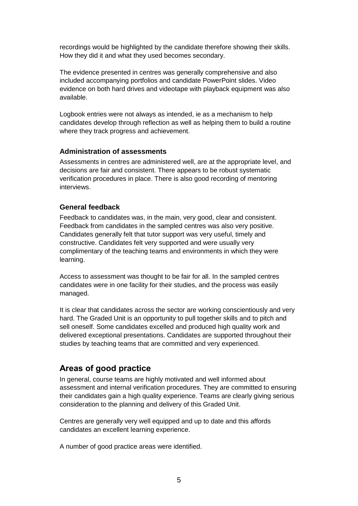recordings would be highlighted by the candidate therefore showing their skills. How they did it and what they used becomes secondary.

The evidence presented in centres was generally comprehensive and also included accompanying portfolios and candidate PowerPoint slides. Video evidence on both hard drives and videotape with playback equipment was also available.

Logbook entries were not always as intended, ie as a mechanism to help candidates develop through reflection as well as helping them to build a routine where they track progress and achievement.

#### **Administration of assessments**

Assessments in centres are administered well, are at the appropriate level, and decisions are fair and consistent. There appears to be robust systematic verification procedures in place. There is also good recording of mentoring interviews.

### **General feedback**

Feedback to candidates was, in the main, very good, clear and consistent. Feedback from candidates in the sampled centres was also very positive. Candidates generally felt that tutor support was very useful, timely and constructive. Candidates felt very supported and were usually very complimentary of the teaching teams and environments in which they were learning.

Access to assessment was thought to be fair for all. In the sampled centres candidates were in one facility for their studies, and the process was easily managed.

It is clear that candidates across the sector are working conscientiously and very hard. The Graded Unit is an opportunity to pull together skills and to pitch and sell oneself. Some candidates excelled and produced high quality work and delivered exceptional presentations. Candidates are supported throughout their studies by teaching teams that are committed and very experienced.

# **Areas of good practice**

In general, course teams are highly motivated and well informed about assessment and internal verification procedures. They are committed to ensuring their candidates gain a high quality experience. Teams are clearly giving serious consideration to the planning and delivery of this Graded Unit.

Centres are generally very well equipped and up to date and this affords candidates an excellent learning experience.

A number of good practice areas were identified.